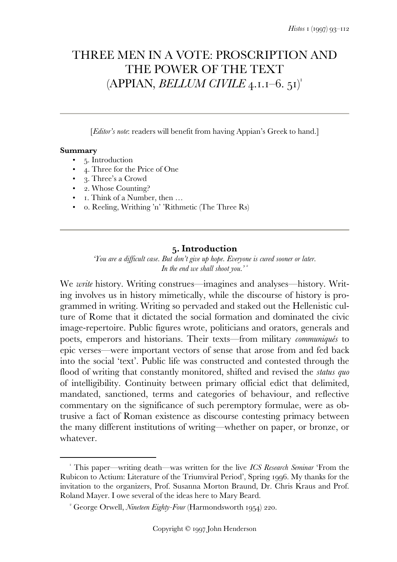# THREE MEN IN A VOTE: PROSCRIPTION AND THE POWER OF THE TEXT  $(APPIAN, *BELLUM CIVILE* 4.1.1-6.51)$

[*Editor's note*: readers will benefit from having Appian's Greek to hand.]

### **Summary**

 $\overline{a}$ 

- 5. Introduction
- . Three for the Price of One
- 3. Three's a Crowd
- 2. Whose Counting?
- I. Think of a Number, then ...
- . Reeling, Writhing 'n' 'Rithmetic (The Three Rs)

## **. Introduction**

*'You are a difficult case. But don't give up hope. Everyone is cured sooner or later. In the end we shall shoot you.*<sup>22</sup>

We *write* history. Writing construes—imagines and analyses—history. Writing involves us in history mimetically, while the discourse of history is programmed in writing. Writing so pervaded and staked out the Hellenistic culture of Rome that it dictated the social formation and dominated the civic image-repertoire. Public figures wrote, politicians and orators, generals and poets, emperors and historians. Their texts—from military *communiqués* to epic verses—were important vectors of sense that arose from and fed back into the social 'text'. Public life was constructed and contested through the flood of writing that constantly monitored, shifted and revised the *status quo* of intelligibility. Continuity between primary official edict that delimited, mandated, sanctioned, terms and categories of behaviour, and reflective commentary on the significance of such peremptory formulae, were as obtrusive a fact of Roman existence as discourse contesting primacy between the many different institutions of writing—whether on paper, or bronze, or whatever.

 This paper—writing death—was written for the live *ICS Research Seminar* 'From the Rubicon to Actium: Literature of the Triumviral Period', Spring 1996. My thanks for the invitation to the organizers, Prof. Susanna Morton Braund, Dr. Chris Kraus and Prof. Roland Mayer. I owe several of the ideas here to Mary Beard.

<sup>&</sup>lt;sup>2</sup> George Orwell, *Nineteen Eighty-Four* (Harmondsworth 1954) 220.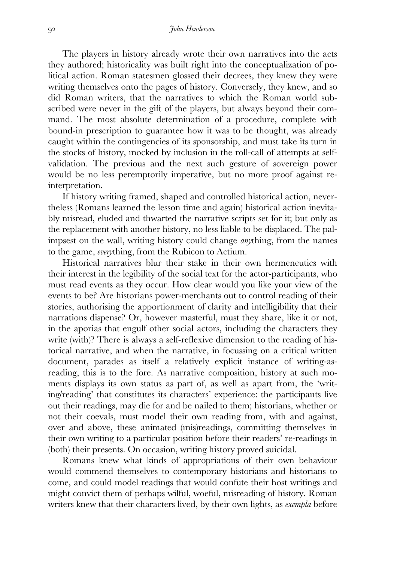The players in history already wrote their own narratives into the acts they authored; historicality was built right into the conceptualization of political action. Roman statesmen glossed their decrees, they knew they were writing themselves onto the pages of history. Conversely, they knew, and so did Roman writers, that the narratives to which the Roman world subscribed were never in the gift of the players, but always beyond their command. The most absolute determination of a procedure, complete with bound-in prescription to guarantee how it was to be thought, was already caught within the contingencies of its sponsorship, and must take its turn in the stocks of history, mocked by inclusion in the roll-call of attempts at selfvalidation. The previous and the next such gesture of sovereign power would be no less peremptorily imperative, but no more proof against reinterpretation.

 If history writing framed, shaped and controlled historical action, nevertheless (Romans learned the lesson time and again) historical action inevitably misread, eluded and thwarted the narrative scripts set for it; but only as the replacement with another history, no less liable to be displaced. The palimpsest on the wall, writing history could change *any*thing, from the names to the game, *every*thing, from the Rubicon to Actium.

 Historical narratives blur their stake in their own hermeneutics with their interest in the legibility of the social text for the actor-participants, who must read events as they occur. How clear would you like your view of the events to be? Are historians power-merchants out to control reading of their stories, authorising the apportionment of clarity and intelligibility that their narrations dispense? Or, however masterful, must they share, like it or not, in the aporias that engulf other social actors, including the characters they write (with)? There is always a self-reflexive dimension to the reading of historical narrative, and when the narrative, in focussing on a critical written document, parades as itself a relatively explicit instance of writing-asreading, this is to the fore. As narrative composition, history at such moments displays its own status as part of, as well as apart from, the 'writing/reading' that constitutes its characters' experience: the participants live out their readings, may die for and be nailed to them; historians, whether or not their coevals, must model their own reading from, with and against, over and above, these animated (mis)readings, committing themselves in their own writing to a particular position before their readers' re-readings in (both) their presents. On occasion, writing history proved suicidal.

 Romans knew what kinds of appropriations of their own behaviour would commend themselves to contemporary historians and historians to come, and could model readings that would confute their host writings and might convict them of perhaps wilful, woeful, misreading of history. Roman writers knew that their characters lived, by their own lights, as *exempla* before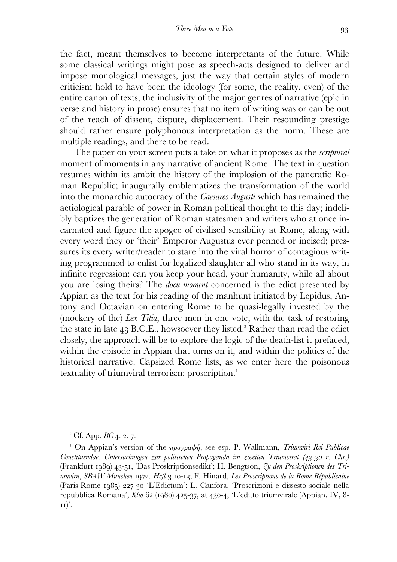the fact, meant themselves to become interpretants of the future. While some classical writings might pose as speech-acts designed to deliver and impose monological messages, just the way that certain styles of modern criticism hold to have been the ideology (for some, the reality, even) of the entire canon of texts, the inclusivity of the major genres of narrative (epic in verse and history in prose) ensures that no item of writing was or can be out of the reach of dissent, dispute, displacement. Their resounding prestige should rather ensure polyphonous interpretation as the norm. These are multiple readings, and there to be read.

 The paper on your screen puts a take on what it proposes as the *scriptural* moment of moments in any narrative of ancient Rome. The text in question resumes within its ambit the history of the implosion of the pancratic Roman Republic; inaugurally emblematizes the transformation of the world into the monarchic autocracy of the *Caesares Augusti* which has remained the aetiological parable of power in Roman political thought to this day; indelibly baptizes the generation of Roman statesmen and writers who at once incarnated and figure the apogee of civilised sensibility at Rome, along with every word they or 'their' Emperor Augustus ever penned or incised; pressures its every writer/reader to stare into the viral horror of contagious writing programmed to enlist for legalized slaughter all who stand in its way, in infinite regression: can you keep your head, your humanity, while all about you are losing theirs? The *docu-moment* concerned is the edict presented by Appian as the text for his reading of the manhunt initiated by Lepidus, Antony and Octavian on entering Rome to be quasi-legally invested by the (mockery of the) *Lex Titia*, three men in one vote, with the task of restoring the state in late 43 B.C.E., howsoever they listed.<sup>3</sup> Rather than read the edict closely, the approach will be to explore the logic of the death-list it prefaced, within the episode in Appian that turns on it, and within the politics of the historical narrative. Capsized Rome lists, as we enter here the poisonous textuality of triumviral terrorism: proscription.

 $^3$  Cf. App.  $BC_4$ . 2. 7.

 On Appian's version of the προγραφή, see esp. P. Wallmann, *Triumviri Rei Publicae Constituendae. Untersuchungen zur politischen Propaganda im zweiten Triumvirat (43-30 v. Chr.)* (Frankfurt 1989) 43-51, 'Das Proskriptionsedikt'; H. Bengtson, *Zu den Proskriptionen des Triumvirn*, *SBAW München* 1972. *Heft*  $_3$  10-13; F. Hinard, *Les Proscriptions de la Rome Républicaine* (Paris-Rome 1985) 227-30 'L'Edictum'; L. Canfora, 'Proscrizioni e dissesto sociale nella repubblica Romana', *Klio* 62 (1980) 425-37, at 430-4, 'L'editto triumvirale (Appian. IV, 8- $\text{II}'$ .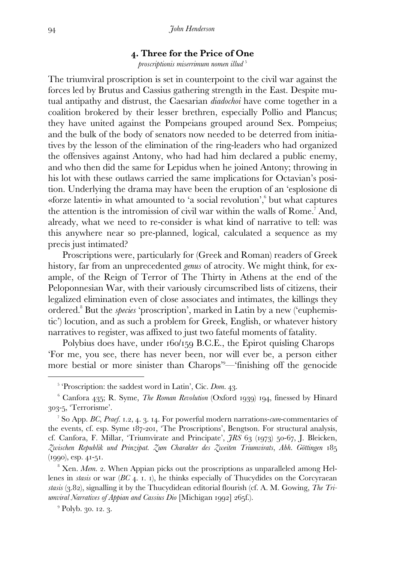### **. Three for the Price of One**

*proscriptionis miserrimum nomen illud* 

The triumviral proscription is set in counterpoint to the civil war against the forces led by Brutus and Cassius gathering strength in the East. Despite mutual antipathy and distrust, the Caesarian *diadochoi* have come together in a coalition brokered by their lesser brethren, especially Pollio and Plancus; they have united against the Pompeians grouped around Sex. Pompeius; and the bulk of the body of senators now needed to be deterred from initiatives by the lesson of the elimination of the ring-leaders who had organized the offensives against Antony, who had had him declared a public enemy, and who then did the same for Lepidus when he joined Antony; throwing in his lot with these outlaws carried the same implications for Octavian's position. Underlying the drama may have been the eruption of an 'esplosione di «forze latenti» in what amounted to 'a social revolution',<sup>6</sup> but what captures the attention is the intromission of civil war within the walls of Rome.<sup>7</sup> And, already, what we need to re-consider is what kind of narrative to tell: was this anywhere near so pre-planned, logical, calculated a sequence as my precis just intimated?

 Proscriptions were, particularly for (Greek and Roman) readers of Greek history, far from an unprecedented *genus* of atrocity. We might think, for example, of the Reign of Terror of The Thirty in Athens at the end of the Peloponnesian War, with their variously circumscribed lists of citizens, their legalized elimination even of close associates and intimates, the killings they ordered. But the *species* 'proscription', marked in Latin by a new ('euphemistic') locution, and as such a problem for Greek, English, or whatever history narratives to register, was affixed to just two fateful moments of fatality.

Polybius does have, under  $160/159$  B.C.E., the Epirot quisling Charops 'For me, you see, there has never been, nor will ever be, a person either more bestial or more sinister than Charops<sup>39</sup>—'finishing off the genocide

<sup>&</sup>lt;sup>5</sup> 'Proscription: the saddest word in Latin', Cic. *Dom.* 43.

 $6$  Canfora 435; R. Syme, *The Roman Revolution* (Oxford 1939) 194, finessed by Hinard 303-5, 'Terrorisme'.

<sup>&</sup>lt;sup>7</sup> So App. *BC*, *Praef.* 1.2, 4. 3. 14. For powerful modern narrations-*cum*-commentaries of the events, cf. esp. Syme  $187-201$ , 'The Proscriptions', Bengtson. For structural analysis, cf. Canfora, F. Millar, 'Triumvirate and Principate',  $\tilde{\jmath}RS$  63 (1973) 50-67, J. Bleicken, *Zwischen Republik und Prinzipat. Zum Charakter des Zweiten Triumvirats*, *Abh. Göttingen*  $(1990),$  esp.  $41-51$ .

 $8$  Xen. *Mem.* 2. When Appian picks out the proscriptions as unparalleled among Hellenes in *stasis* or war  $(BC \, 4. \, 1. \, 1)$ , he thinks especially of Thucydides on the Corcyraean *stasis* (3.82), signalling it by the Thucydidean editorial flourish (cf. A. M. Gowing, *The Triumviral Narratives of Appian and Cassius Dio* [Michigan 1992] 265f.).

<sup>&</sup>lt;sup>9</sup> Polyb. 30. 12. 3.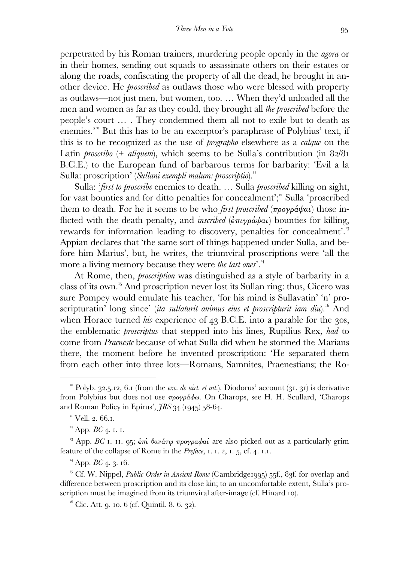perpetrated by his Roman trainers, murdering people openly in the *agora* or in their homes, sending out squads to assassinate others on their estates or along the roads, confiscating the property of all the dead, he brought in another device. He *proscribed* as outlaws those who were blessed with property as outlaws—not just men, but women, too. … When they'd unloaded all the men and women as far as they could, they brought all *the proscribed* before the people's court … . They condemned them all not to exile but to death as enemies." But this has to be an excerptor's paraphrase of Polybius' text, if this is to be recognized as the use of *prographo* elsewhere as a *calque* on the Latin *proscribo* (+ *aliquem*), which seems to be Sulla's contribution (in 82/81) B.C.E.) to the European fund of barbarous terms for barbarity: 'Evil a la Sulla: proscription' (*Sullani exempli malum: proscriptio*).

 Sulla: '*first to proscribe* enemies to death. … Sulla *proscribed* killing on sight, for vast bounties and for ditto penalties for concealment'; "Sulla 'proscribed' them to death. For he it seems to be who *first proscribed* (προγράψαι) those inflicted with the death penalty, and *inscribed* (ἐπιγράψαι) bounties for killing, rewards for information leading to discovery, penalties for concealment'. Appian declares that 'the same sort of things happened under Sulla, and before him Marius', but, he writes, the triumviral proscriptions were 'all the more a living memory because they were *the last ones*'.

 At Rome, then, *proscription* was distinguished as a style of barbarity in a class of its own.<sup>15</sup> And proscription never lost its Sullan ring: thus, Cicero was sure Pompey would emulate his teacher, 'for his mind is Sullavatin' 'n' proscripturatin' long since' (*ita sullaturit animus eius et proscripturit iam diu*).<sup>16</sup> And when Horace turned *his* experience of 43 B.C.E. into a parable for the 30s, the emblematic *proscriptus* that stepped into his lines, Rupilius Rex, *had* to come from *Praeneste* because of what Sulla did when he stormed the Marians there, the moment before he invented proscription: 'He separated them from each other into three lots—Romans, Samnites, Praenestians; the Ro-

<sup>&</sup>lt;sup>10</sup> Polyb. 32.5.12, 6.1 (from the *exc. de uirt. et uit.*). Diodorus' account (31. 31) is derivative from Polybius but does not use  $\pi \rho \circ \gamma \rho \circ \phi \circ \phi$ . On Charops, see H. H. Scullard, 'Charops and Roman Policy in Epirus',  $\tilde{\jmath}RS$  34 (1945) 58-64.

 $\mathrm{W}$  Vell. 2. 66.1.

 $^{12}$  App. *BC* 4. I. I.

<sup>&</sup>lt;sup>13</sup> App. *BC* 1. 11. 95;  $\epsilon \pi i \theta \alpha \nu \alpha \tau \varphi \pi \rho \varphi \varphi \varphi \alpha \varphi \alpha \varphi \alpha \varphi$  are also picked out as a particularly grim feature of the collapse of Rome in the *Preface*, I. I. 2, I. 5, cf. 4. I.I.

 $^{14}$  App. *BC* 4. 3. 16.

<sup>&</sup>lt;sup>15</sup> Cf. W. Nippel, *Public Order in Ancient Rome* (Cambridge1995) 55f., 83f. for overlap and difference between proscription and its close kin; to an uncomfortable extent, Sulla's proscription must be imagined from its triumviral after-image (cf. Hinard 10).

 $^{16}$  Cic. Att. 9. 10. 6 (cf. Quintil. 8. 6. 32).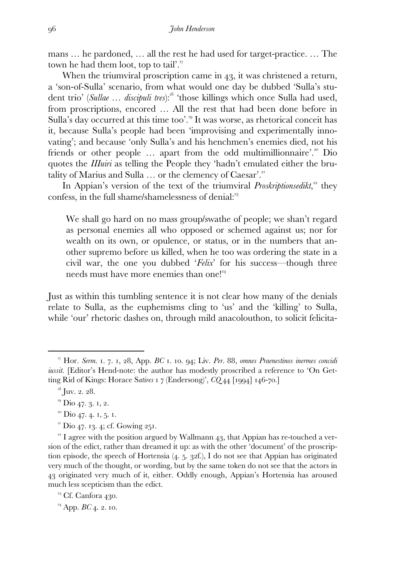mans … he pardoned, … all the rest he had used for target-practice. … The town he had them loot, top to tail'.

When the triumviral proscription came in  $43$ , it was christened a return, a 'son-of-Sulla' scenario, from what would one day be dubbed 'Sulla's student trio' (*Sullae ... discipuli tres*):<sup>18</sup> 'those killings which once Sulla had used, from proscriptions, encored … All the rest that had been done before in Sulla's day occurred at this time too'.<sup>19</sup> It was worse, as rhetorical conceit has it, because Sulla's people had been 'improvising and experimentally innovating'; and because 'only Sulla's and his henchmen's enemies died, not his friends or other people ... apart from the odd multimillionnaire'.<sup>20</sup> Dio quotes the *IIIuiri* as telling the People they 'hadn't emulated either the brutality of Marius and Sulla ... or the clemency of Caesar'.<sup>21</sup>

In Appian's version of the text of the triumviral *Proskriptionsedikt*,<sup>22</sup> they confess, in the full shame/shamelessness of denial:

We shall go hard on no mass group/swathe of people; we shan't regard as personal enemies all who opposed or schemed against us; nor for wealth on its own, or opulence, or status, or in the numbers that another supremo before us killed, when he too was ordering the state in a civil war, the one you dubbed '*Felix*' for his success—though three needs must have more enemies than one!

Just as within this tumbling sentence it is not clear how many of the denials relate to Sulla, as the euphemisms cling to 'us' and the 'killing' to Sulla, while 'our' rhetoric dashes on, through mild anacolouthon, to solicit felicita-

 $\overline{a}$ 

 $^{24}$  App. *BC* 4. 2. 10.

<sup>&</sup>lt;sup>17</sup> Hor. *Serm.* 1, 7, 1, 28, App. *BC* 1, 10, 94; Liv. *Per.* 88, *omnes Praenestinos inermes concidi iussit.* [Editor's Hend-note: the author has modestly proscribed a reference to 'On Getting Rid of Kings: Horace Satires **1** 7 (Endersong)', *CQ* 44 [1994] 146-70.]

 $18$  Juv. 2. 28.

 $^{19}$  Dio 47. 3. 1, 2.

 $^{20}$  Dio 47. 4. 1, 5. 1.

 $2^{21}$  Dio 47. 13. 4; cf. Gowing 251.

 $\overline{a}$  I agree with the position argued by Wallmann 43, that Appian has re-touched a version of the edict, rather than dreamed it up: as with the other 'document' of the proscription episode, the speech of Hortensia  $(4, 5, 32f)$ , I do not see that Appian has originated very much of the thought, or wording, but by the same token do not see that the actors in 43 originated very much of it, either. Oddly enough, Appian's Hortensia has aroused much less scepticism than the edict.

 $23$  Cf. Canfora 430.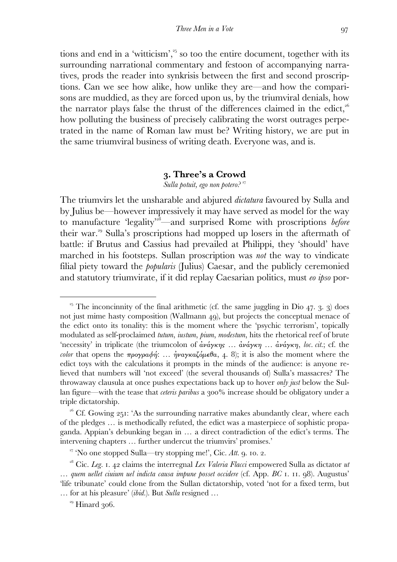tions and end in a 'witticism', $\frac{3}{5}$  so too the entire document, together with its surrounding narrational commentary and festoon of accompanying narratives, prods the reader into synkrisis between the first and second proscriptions. Can we see how alike, how unlike they are—and how the comparisons are muddied, as they are forced upon us, by the triumviral denials, how the narrator plays false the thrust of the differences claimed in the edict, $^{26}$ how polluting the business of precisely calibrating the worst outrages perpetrated in the name of Roman law must be? Writing history, we are put in the same triumviral business of writing death. Everyone was, and is.

### **. Three's a Crowd**

*Sulla potuit, ego non potero?*

The triumvirs let the unsharable and abjured *dictatura* favoured by Sulla and by Julius be—however impressively it may have served as model for the way to manufacture 'legality'<sup>28</sup>—and surprised Rome with proscriptions *before* their war.<sup>29</sup> Sulla's proscriptions had mopped up losers in the aftermath of battle: if Brutus and Cassius had prevailed at Philippi, they 'should' have marched in his footsteps. Sullan proscription was *not* the way to vindicate filial piety toward the *popularis* (Julius) Caesar, and the publicly ceremonied and statutory triumvirate, if it did replay Caesarian politics, must *eo ipso* por-

<sup>&</sup>lt;sup>25</sup> The inconcinnity of the final arithmetic (cf. the same juggling in Dio 47. 3. 3) does not just mime hasty composition (Wallmann  $\alpha$ ), but projects the conceptual menace of the edict onto its tonality: this is the moment where the 'psychic terrorism', topically modulated as self-proclaimed *tutum*, *iustum*, *pium*, *modestum*, hits the rhetorical reef of brute 'necessity' in triplicate (the triumcolon of ἀνάγκης … ἀνάγκη … ἀνάγκη, *loc. cit.*; cf. the *color* that opens the  $\pi \rho \circ \gamma \rho \circ \phi \circ \eta$ : ...  $\dot{\eta} \nu \circ \gamma \circ \kappa \circ \phi \circ \phi$ , 4. 8); it is also the moment where the edict toys with the calculations it prompts in the minds of the audience: is anyone relieved that numbers will 'not exceed' (the several thousands of) Sulla's massacres? The throwaway clausula at once pushes expectations back up to hover *only just* below the Sullan figure—with the tease that *ceteris paribus* a 300% increase should be obligatory under a triple dictatorship.

 $26$  Cf. Gowing 251: 'As the surrounding narrative makes abundantly clear, where each of the pledges … is methodically refuted, the edict was a masterpiece of sophistic propaganda. Appian's debunking began in … a direct contradiction of the edict's terms. The intervening chapters … further undercut the triumvirs' promises.'

<sup>&</sup>lt;sup>27</sup> 'No one stopped Sulla—try stopping me!', Cic. Att. 9. 10. 2.

<sup>&</sup>lt;sup>28</sup> Cic. *Leg.* 1. 42 claims the interregnal *Lex Valeria Flacci* empowered Sulla as dictator *ut* ... quem uellet ciuium uel indicta causa impune posset occidere (cf. App. *BC* 1. 11. 98). Augustus' 'life tribunate' could clone from the Sullan dictatorship, voted 'not for a fixed term, but … for at his pleasure' (*ibid.*). But *Sulla* resigned …

 $39$  Hinard 306.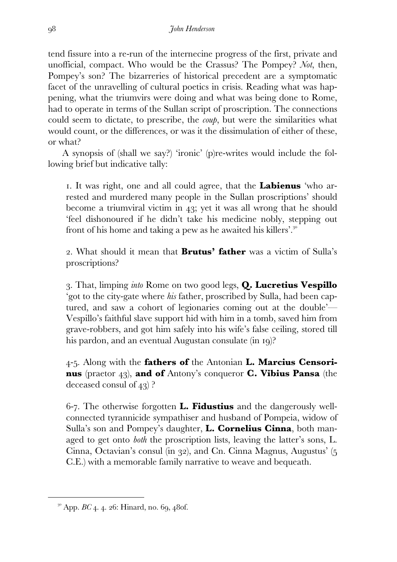tend fissure into a re-run of the internecine progress of the first, private and unofficial, compact. Who would be the Crassus? The Pompey? *Not*, then, Pompey's son? The bizarreries of historical precedent are a symptomatic facet of the unravelling of cultural poetics in crisis. Reading what was happening, what the triumvirs were doing and what was being done to Rome, had to operate in terms of the Sullan script of proscription. The connections could seem to dictate, to prescribe, the *coup*, but were the similarities what would count, or the differences, or was it the dissimulation of either of these, or what?

 A synopsis of (shall we say?) 'ironic' (p)re-writes would include the following brief but indicative tally:

. It was right, one and all could agree, that the **Labienus** 'who arrested and murdered many people in the Sullan proscriptions' should become a triumviral victim in  $43$ ; yet it was all wrong that he should 'feel dishonoured if he didn't take his medicine nobly, stepping out front of his home and taking a pew as he awaited his killers'.

. What should it mean that **Brutus' father** was a victim of Sulla's proscriptions?

. That, limping *into* Rome on two good legs, **Q. Lucretius Vespillo** 'got to the city-gate where *his* father, proscribed by Sulla, had been captured, and saw a cohort of legionaries coming out at the double'— Vespillo's faithful slave support hid with him in a tomb, saved him from grave-robbers, and got him safely into his wife's false ceiling, stored till his pardon, and an eventual Augustan consulate (in  $(q)$ ?

4-5. Along with the **fathers of** the Antonian **L. Marcius Censorinus** (praetor 43), **and of** Antony's conqueror **C. Vibius Pansa** (the deceased consul of  $43$ ?

6-7. The otherwise forgotten **L. Fidustius** and the dangerously wellconnected tyrannicide sympathiser and husband of Pompeia, widow of Sulla's son and Pompey's daughter, **L. Cornelius Cinna**, both managed to get onto *both* the proscription lists, leaving the latter's sons, L. Cinna, Octavian's consul (in  $32$ ), and Cn. Cinna Magnus, Augustus' (5 C.E.) with a memorable family narrative to weave and bequeath.

<sup>&</sup>lt;sup>30</sup> App. *BC* 4. 4. 26: Hinard, no. 69, 48of.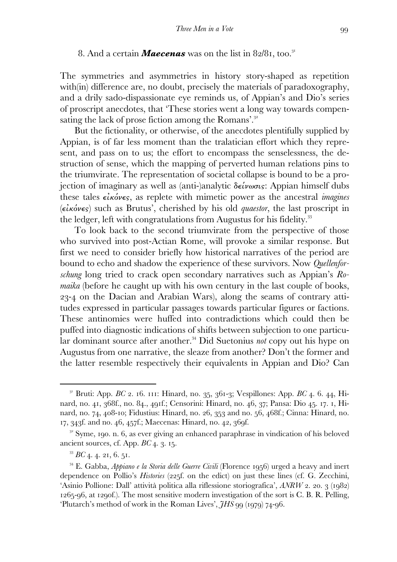# 8. And a certain *Maecenas* was on the list in 82/81, too.<sup>31</sup>

The symmetries and asymmetries in history story-shaped as repetition with(in) difference are, no doubt, precisely the materials of paradoxography, and a drily sado-dispassionate eye reminds us, of Appian's and Dio's series of proscript anecdotes, that 'These stories went a long way towards compensating the lack of prose fiction among the Romans'.<sup>32</sup>

 But the fictionality, or otherwise, of the anecdotes plentifully supplied by Appian, is of far less moment than the tralatician effort which they represent, and pass on to us; the effort to encompass the senselessness, the destruction of sense, which the mapping of perverted human relations pins to the triumvirate. The representation of societal collapse is bound to be a projection of imaginary as well as (anti-)analytic δείνωσις: Appian himself dubs these tales εἰκόνες, as replete with mimetic power as the ancestral *imagines* (εἰκόνες) such as Brutus', cherished by his old *quaestor*, the last proscript in the ledger, left with congratulations from Augustus for his fidelity.<sup>33</sup>

 To look back to the second triumvirate from the perspective of those who survived into post-Actian Rome, will provoke a similar response. But first we need to consider briefly how historical narratives of the period are bound to echo and shadow the experience of these survivors. Now *Quellenforschung* long tried to crack open secondary narratives such as Appian's *Romaika* (before he caught up with his own century in the last couple of books, 23-4 on the Dacian and Arabian Wars), along the seams of contrary attitudes expressed in particular passages towards particular figures or factions. These antinomies were huffed into contradictions which could then be puffed into diagnostic indications of shifts between subjection to one particular dominant source after another.<sup>34</sup> Did Suetonius *not* copy out his hype on Augustus from one narrative, the sleaze from another? Don't the former and the latter resemble respectively their equivalents in Appian and Dio? Can

<sup>&</sup>lt;sup>31</sup> Bruti: App. *BC* 2. 16. 111: Hinard, no. 35, 361-3; Vespillones: App. *BC* 4. 6. 44, Hinard, no. 41, 368f., no. 84., 491f.; Censorini: Hinard, no. 46, 37; Pansa: Dio 45. 17. 1, Hinard, no. 74, 408-10; Fidustius: Hinard, no. 26, 353 and no. 56, 468f.; Cinna: Hinard, no. 17, 343f. and no. 46, 457f.; Maecenas: Hinard, no. 42, 369f.

 $32$  Syme, 190. n. 6, as ever giving an enhanced paraphrase in vindication of his beloved ancient sources, cf. App.  $BC_4$ , 3. 15.

 $^{33}$  *BC* 4. 4. 21, 6. 51.

<sup>&</sup>lt;sup>34</sup> E. Gabba, *Appiano e la Storia delle Guerre Civili* (Florence 1956) urged a heavy and inert dependence on Pollio's *Histories* (225f. on the edict) on just these lines (cf. G. Zecchini, 'Asinio Pollione: Dall' attività politica alla riflessione storiografica', *ANRW* 2. 20. 3 (1982)  $1265-96$ , at  $1290f$ .). The most sensitive modern investigation of the sort is C. B. R. Pelling, 'Plutarch's method of work in the Roman Lives',  $\tilde{\jmath}$ HS  $99$  (1979) 74-96.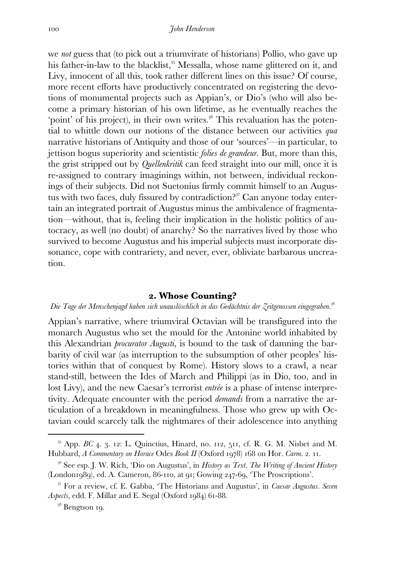we *not* guess that (to pick out a triumvirate of historians) Pollio, who gave up his father-in-law to the blacklist,<sup>35</sup> Messalla, whose name glittered on it, and Livy, innocent of all this, took rather different lines on this issue? Of course, more recent efforts have productively concentrated on registering the devotions of monumental projects such as Appian's, or Dio's (who will also become a primary historian of his own lifetime, as he eventually reaches the 'point' of his project), in their own writes. $3^6$  This revaluation has the potential to whittle down our notions of the distance between our activities *qua* narrative historians of Antiquity and those of our 'sources'—in particular, to jettison bogus superiority and scientistic *folies de grandeur*. But, more than this, the grist stripped out by *Quellenkritik* can feed straight into our mill, once it is re-assigned to contrary imaginings within, not between, individual reckonings of their subjects. Did not Suetonius firmly commit himself to an Augustus with two faces, duly fissured by contradiction?<sup>37</sup> Can anyone today entertain an integrated portrait of Augustus minus the ambivalence of fragmentation—without, that is, feeling their implication in the holistic politics of autocracy, as well (no doubt) of anarchy? So the narratives lived by those who survived to become Augustus and his imperial subjects must incorporate dissonance, cope with contrariety, and never, ever, obliviate barbarous uncreation.

### **. Whose Counting?**

### *Die Tage der Menschenjagd haben sich unauslöschlich in das Gedächtnis der Zeitgenossen eingegraben.*

Appian's narrative, where triumviral Octavian will be transfigured into the monarch Augustus who set the mould for the Antonine world inhabited by this Alexandrian *procurator Augusti*, is bound to the task of damning the barbarity of civil war (as interruption to the subsumption of other peoples' histories within that of conquest by Rome). History slows to a crawl, a near stand-still, between the Ides of March and Philippi (as in Dio, too, and in lost Livy), and the new Caesar's terrorist *entrée* is a phase of intense interpretivity. Adequate encounter with the period *demands* from a narrative the articulation of a breakdown in meaningfulness. Those who grew up with Octavian could scarcely talk the nightmares of their adolescence into anything

 $^{35}$  App. *BC* 4. 3. 12: L. Quinctius, Hinard, no. 112, 511, cf. R. G. M. Nisbet and M. Hubbard, *A Commentary on Horace* Odes *Book II* (Oxford 1978) 168 on Hor. *Carm.* 2. 11.

<sup>&</sup>lt;sup>36</sup> See esp. J. W. Rich, 'Dio on Augustus', in *History as Text. The Writing of Ancient History* (London1989), ed. A. Cameron, 86-110, at 91; Gowing 247-69, 'The Proscriptions'.

For a review, cf. E. Gabba, 'The Historians and Augustus', in *Caesar Augustus. Seven*  Aspects, edd. F. Millar and E. Segal (Oxford 1984) 61-88.

 $3^8$  Bengtson 19.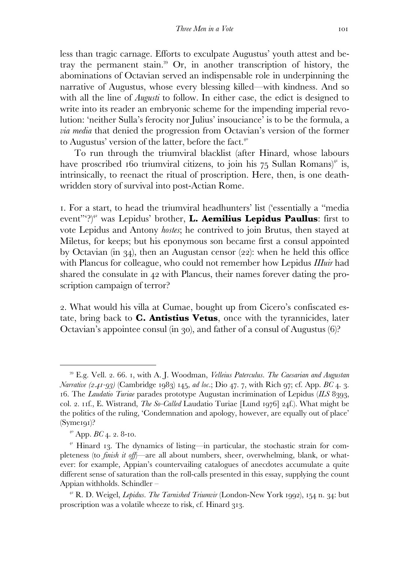less than tragic carnage. Efforts to exculpate Augustus' youth attest and betray the permanent stain.<sup>39</sup> Or, in another transcription of history, the abominations of Octavian served an indispensable role in underpinning the narrative of Augustus, whose every blessing killed—with kindness. And so with all the line of *Augusti* to follow. In either case, the edict is designed to write into its reader an embryonic scheme for the impending imperial revolution: 'neither Sulla's ferocity nor Julius' insouciance' is to be the formula, a *via media* that denied the progression from Octavian's version of the former to Augustus' version of the latter, before the fact.

 To run through the triumviral blacklist (after Hinard, whose labours have proscribed 160 triumviral citizens, to join his  $75$  Sullan Romans)<sup> $\mu$ </sup> is, intrinsically, to reenact the ritual of proscription. Here, then, is one deathwridden story of survival into post-Actian Rome.

. For a start, to head the triumviral headhunters' list ('essentially a "media event"<sup>(2)<sup>42</sup> was Lepidus' brother, **L. Aemilius Lepidus Paullus**: first to</sup> vote Lepidus and Antony *hostes*; he contrived to join Brutus, then stayed at Miletus, for keeps; but his eponymous son became first a consul appointed by Octavian (in  $34$ ), then an Augustan censor (22): when he held this office with Plancus for colleague, who could not remember how Lepidus *IIIuir* had shared the consulate in  $42$  with Plancus, their names forever dating the proscription campaign of terror?

. What would his villa at Cumae, bought up from Cicero's confiscated estate, bring back to **C. Antistius Vetus**, once with the tyrannicides, later Octavian's appointee consul (in 30), and father of a consul of Augustus  $(6)$ ?

<sup>&</sup>lt;sup>39</sup> E.g. Vell. 2. 66. 1, with A. J. Woodman, *Velleius Paterculus. The Caesarian and Augustan Narrative (2.41-93)* (Cambridge 1983) 145, *ad loc.*; Dio 47. 7, with Rich 97; cf. App. *BC* 4. 3. 16. The *Laudatio Turiae* parades prototype Augustan incrimination of Lepidus (ILS 8393, col. 2. IIf., E. Wistrand, *The So-Called Laudatio Turiae [Lund 1976] 24f.*). What might be the politics of the ruling, 'Condemnation and apology, however, are equally out of place'  $(Symerq1)?$ 

<sup>&</sup>lt;sup>40</sup> App. *BC* 4. 2. 8-10.

<sup>&</sup>lt;sup>41</sup> Hinard 13. The dynamics of listing—in particular, the stochastic strain for completeness (to *finish it off*)—are all about numbers, sheer, overwhelming, blank, or whatever: for example, Appian's countervailing catalogues of anecdotes accumulate a quite different sense of saturation than the roll-calls presented in this essay, supplying the count Appian withholds. Schindler –

<sup>&</sup>lt;sup>42</sup> R. D. Weigel, *Lepidus. The Tarnished Triumvir* (London-New York 1992), 154 n. 34: but proscription was a volatile wheeze to risk, cf. Hinard 313.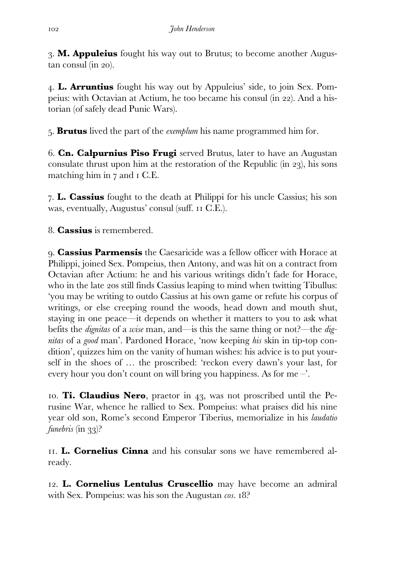. **M. Appuleius** fought his way out to Brutus; to become another Augustan consul (in 20).

. **L. Arruntius** fought his way out by Appuleius' side, to join Sex. Pompeius: with Octavian at Actium, he too became his consul (in 22). And a historian (of safely dead Punic Wars).

. **Brutus** lived the part of the *exemplum* his name programmed him for.

. **Cn. Calpurnius Piso Frugi** served Brutus, later to have an Augustan consulate thrust upon him at the restoration of the Republic (in  $23$ ), his sons matching him in  $7$  and  $1$  C.E.

. **L. Cassius** fought to the death at Philippi for his uncle Cassius; his son was, eventually, Augustus' consul (suff. II C.E.).

. **Cassius** is remembered.

. **Cassius Parmensis** the Caesaricide was a fellow officer with Horace at Philippi, joined Sex. Pompeius, then Antony, and was hit on a contract from Octavian after Actium: he and his various writings didn't fade for Horace, who in the late 20s still finds Cassius leaping to mind when twitting Tibullus: 'you may be writing to outdo Cassius at his own game or refute his corpus of writings, or else creeping round the woods, head down and mouth shut, staying in one peace—it depends on whether it matters to you to ask what befits the *dignitas* of a *wise* man, and—is this the same thing or not?—the *dignitas* of a *good* man'. Pardoned Horace, 'now keeping *his* skin in tip-top condition', quizzes him on the vanity of human wishes: his advice is to put yourself in the shoes of … the proscribed: 'reckon every dawn's your last, for every hour you don't count on will bring you happiness. As for me  $-$ .

10. **Ti. Claudius Nero**, praetor in 43, was not proscribed until the Perusine War, whence he rallied to Sex. Pompeius: what praises did his nine year old son, Rome's second Emperor Tiberius, memorialize in his *laudatio funebris* (in  $33$ )?

. **L. Cornelius Cinna** and his consular sons we have remembered already.

. **L. Cornelius Lentulus Cruscellio** may have become an admiral with Sex. Pompeius: was his son the Augustan  $\cos$ .  $18$ ?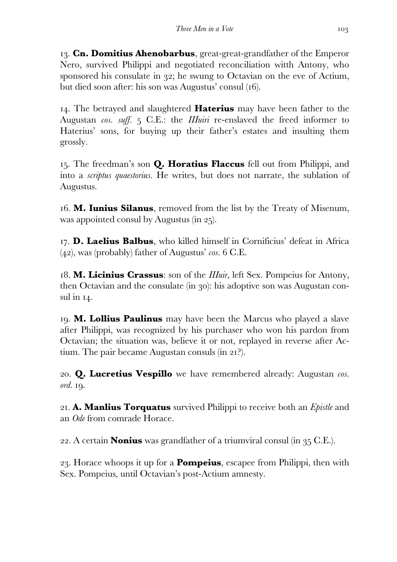. **Cn. Domitius Ahenobarbus**, great-great-grandfather of the Emperor Nero, survived Philippi and negotiated reconciliation witth Antony, who sponsored his consulate in 32; he swung to Octavian on the eve of Actium, but died soon after: his son was Augustus' consul  $(16)$ .

. The betrayed and slaughtered **Haterius** may have been father to the Augustan *cos. suff.* 5 C.E.: the *IIIuiri* re-enslaved the freed informer to Haterius' sons, for buying up their father's estates and insulting them grossly.

. The freedman's son **Q. Horatius Flaccus** fell out from Philippi, and into a *scriptus quaestorius*. He writes, but does not narrate, the sublation of Augustus.

. **M. Iunius Silanus**, removed from the list by the Treaty of Misenum, was appointed consul by Augustus (in  $25$ ).

. **D. Laelius Balbus**, who killed himself in Cornificius' defeat in Africa  $(42)$ , was (probably) father of Augustus' *cos*. 6 C.E.

. **M. Licinius Crassus**: son of the *IIIuir*, left Sex. Pompeius for Antony, then Octavian and the consulate (in 30): his adoptive son was Augustan consul in  $14$ .

. **M. Lollius Paulinus** may have been the Marcus who played a slave after Philippi, was recognized by his purchaser who won his pardon from Octavian; the situation was, believe it or not, replayed in reverse after Actium. The pair became Augustan consuls (in  $2I$ ?).

. **Q. Lucretius Vespillo** we have remembered already: Augustan *cos. ord.* **19**.

. **A. Manlius Torquatus** survived Philippi to receive both an *Epistle* and an *Ode* from comrade Horace.

22. A certain **Nonius** was grandfather of a triumviral consul (in  $35$  C.E.).

. Horace whoops it up for a **Pompeius**, escapee from Philippi, then with Sex. Pompeius, until Octavian's post-Actium amnesty.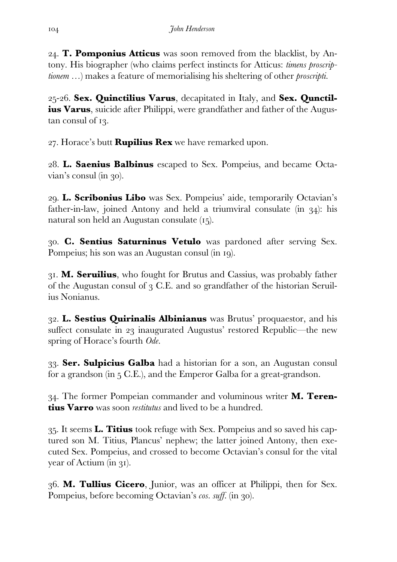. **T. Pomponius Atticus** was soon removed from the blacklist, by Antony. His biographer (who claims perfect instincts for Atticus: *timens proscriptionem …*) makes a feature of memorialising his sheltering of other *proscripti.*

25-26. Sex. Quinctilius Varus, decapitated in Italy, and Sex. Qunctil**ius Varus**, suicide after Philippi, were grandfather and father of the Augustan consul of 13.

. Horace's butt **Rupilius Rex** we have remarked upon.

. **L. Saenius Balbinus** escaped to Sex. Pompeius, and became Octavian's consul (in  $30$ ).

. **L. Scribonius Libo** was Sex. Pompeius' aide, temporarily Octavian's father-in-law, joined Antony and held a triumviral consulate (in  $34$ ): his natural son held an Augustan consulate  $(i_5)$ .

. **C. Sentius Saturninus Vetulo** was pardoned after serving Sex. Pompeius; his son was an Augustan consul (in 19).

. **M. Seruilius**, who fought for Brutus and Cassius, was probably father of the Augustan consul of  $\overline{3}$  C.E. and so grandfather of the historian Seruilius Nonianus.

. **L. Sestius Quirinalis Albinianus** was Brutus' proquaestor, and his suffect consulate in 23 inaugurated Augustus' restored Republic—the new spring of Horace's fourth *Ode*.

. **Ser. Sulpicius Galba** had a historian for a son, an Augustan consul for a grandson (in  $5$  C.E.), and the Emperor Galba for a great-grandson.

. The former Pompeian commander and voluminous writer **M. Terentius Varro** was soon *restitutus* and lived to be a hundred.

. It seems **L. Titius** took refuge with Sex. Pompeius and so saved his captured son M. Titius, Plancus' nephew; the latter joined Antony, then executed Sex. Pompeius, and crossed to become Octavian's consul for the vital year of Actium (in  $\mathfrak{g}_I$ ).

. **M. Tullius Cicero**, Junior, was an officer at Philippi, then for Sex. Pompeius, before becoming Octavian's *cos. suff.* (in 30).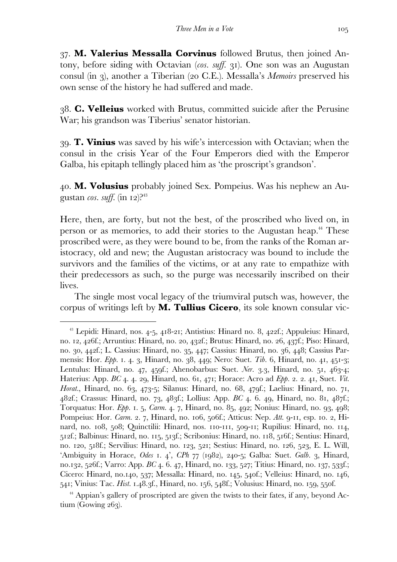. **M. Valerius Messalla Corvinus** followed Brutus, then joined Antony, before siding with Octavian (*cos. suff.* 31). One son was an Augustan consul (in 3), another a Tiberian (20 C.E.). Messalla's *Memoirs* preserved his own sense of the history he had suffered and made.

. **C. Velleius** worked with Brutus, committed suicide after the Perusine War; his grandson was Tiberius' senator historian.

. **T. Vinius** was saved by his wife's intercession with Octavian; when the consul in the crisis Year of the Four Emperors died with the Emperor Galba, his epitaph tellingly placed him as 'the proscript's grandson'.

. **M. Volusius** probably joined Sex. Pompeius. Was his nephew an Augustan *cos. suff.* (in 12)?<sup>43</sup>

Here, then, are forty, but not the best, of the proscribed who lived on, in person or as memories, to add their stories to the Augustan heap.<sup>44</sup> These proscribed were, as they were bound to be, from the ranks of the Roman aristocracy, old and new; the Augustan aristocracy was bound to include the survivors and the families of the victims, or at any rate to empathize with their predecessors as such, so the purge was necessarily inscribed on their lives.

 The single most vocal legacy of the triumviral putsch was, however, the corpus of writings left by **M. Tullius Cicero**, its sole known consular vic-

<sup>&</sup>lt;sup>43</sup> Lepidi: Hinard, nos. 4-5, 418-21; Antistius: Hinard no. 8, 422f.; Appuleius: Hinard, no. 12, 426f.; Arruntius: Hinard, no. 20, 432f.; Brutus: Hinard, no. 26, 437f.; Piso: Hinard, no. 30, 442f.; L. Cassius: Hinard, no. 35, 447; Cassius: Hinard, no. 36, 448; Cassius Parmensis: Hor. *Epp.* 1. 4. 3, Hinard, no. 38, 449; Nero: Suet. *Tib.* 6, Hinard, no. 41, 451-3; Lentulus: Hinard, no. 47, 459f.; Ahenobarbus: Suet. *Ner.* 3.3, Hinard, no. 51, 463-4; Haterius: App. *BC* 4. 4. 29, Hinard, no. 61, 471; Horace: Acro ad *Epp.* 2. 2. 41, Suet. *Vit. Horat.*, Hinard, no. 63, 473-5; Silanus: Hinard, no. 68, 479f.; Laelius: Hinard, no. 71, 482f.; Crassus: Hinard, no. 73, 483f.; Lollius: App. *BC* 4. 6. 49, Hinard, no. 81, 487f.; Torquatus: Hor. *Epp.* 1. 5, *Carm.* 4. 7, Hinard, no. 85, 492; Nonius: Hinard, no. 93, 498; Pompeius: Hor. *Carm.* 2. 7, Hinard, no. 106, 506f.; Atticus: Nep. Att. 9-11, esp. 10. 2, Hinard, no. 108, 508; Quinctilii: Hinard, nos. 110-111, 509-11; Rupilius: Hinard, no. 114, 512f.; Balbinus: Hinard, no. 115, 513f.; Scribonius: Hinard, no. 118, 516f.; Sentius: Hinard, no. 120, 518f.; Servilius: Hinard, no. 123, 521; Sestius: Hinard, no. 126, 523, E. L. Will, 'Ambiguity in Horace, *Odes* 1. 4', *CPh* 77 (1982), 240-5; Galba: Suet. *Galb.* 3, Hinard, no.132, 526f.; Varro: App. *BC* 4. 6. 47, Hinard, no. 133, 527; Titius: Hinard, no. 137, 533f.; Cicero: Hinard, no.140, 537; Messalla: Hinard, no. 145, 540f.; Velleius: Hinard, no. 146, 541; Vinius: Tac. *Hist*. 1.48.3f., Hinard, no. 156, 548f.; Volusius: Hinard, no. 159, 550f.

Appian's gallery of proscripted are given the twists to their fates, if any, beyond Actium (Gowing  $263$ ).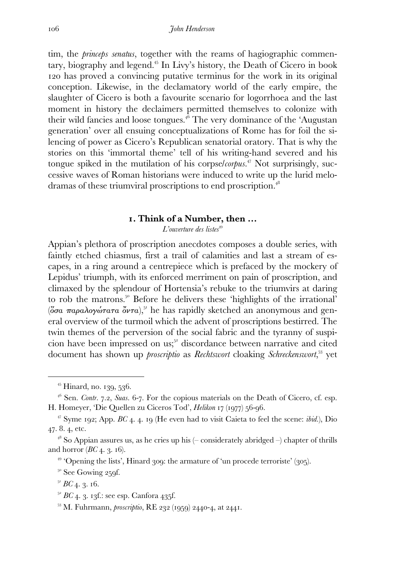tim, the *princeps senatus*, together with the reams of hagiographic commentary, biography and legend.<sup>45</sup> In Livy's history, the Death of Cicero in book has proved a convincing putative terminus for the work in its original conception. Likewise, in the declamatory world of the early empire, the slaughter of Cicero is both a favourite scenario for logorrhoea and the last moment in history the declaimers permitted themselves to colonize with their wild fancies and loose tongues.<sup>46</sup> The very dominance of the 'Augustan generation' over all ensuing conceptualizations of Rome has for foil the silencing of power as Cicero's Republican senatorial oratory. That is why the stories on this 'immortal theme' tell of his writing-hand severed and his tongue spiked in the mutilation of his corpselcorpus.<sup>47</sup> Not surprisingly, successive waves of Roman historians were induced to write up the lurid melodramas of these triumviral proscriptions to end proscription.<sup>48</sup>

### **. Think of a Number, then …**

*L'ouverture des listes*

Appian's plethora of proscription anecdotes composes a double series, with faintly etched chiasmus, first a trail of calamities and last a stream of escapes, in a ring around a centrepiece which is prefaced by the mockery of Lepidus' triumph, with its enforced merriment on pain of proscription, and climaxed by the splendour of Hortensia's rebuke to the triumvirs at daring to rob the matrons.<sup>50</sup> Before he delivers these 'highlights of the irrational' (<del></del>όσα παραλογώτατα όντα),<sup>51</sup> he has rapidly sketched an anonymous and general overview of the turmoil which the advent of proscriptions bestirred. The twin themes of the perversion of the social fabric and the tyranny of suspicion have been impressed on us;<sup>52</sup> discordance between narrative and cited document has shown up *proscriptio* as *Rechtswort* cloaking *Schreckenswort*,<sup>53</sup> yet

 $45$  Hinard, no. 139, 536.

<sup>&</sup>lt;sup>46</sup> Sen. *Contr.* 7.2, *Suas*. 6-7. For the copious materials on the Death of Cicero, cf. esp. H. Homeyer, 'Die Quellen zu Ciceros Tod', *Helikon* 17 (1977) 56-96.

<sup>&</sup>lt;sup>47</sup> Syme 192; App. *BC* 4. 4. 19 (He even had to visit Caieta to feel the scene: *ibid.*), Dio  $47.8.4$ , etc.

<sup>&</sup>lt;sup>48</sup> So Appian assures us, as he cries up his  $(-\text{considerately abrieded }-)$  chapter of thrills and horror  $(BC 4.3.16)$ .

 $\overset{\text{\tiny{49}}}{\sim}$  'Opening the lists', Hinard 309: the armature of 'un procede terroriste' (305).

 $50$  See Gowing 259f.

 $^{51}$  *BC* 4. 3. 16.

 $^{52}$  *BC* 4. 3. 13f.: see esp. Canfora 435f.

 $^{53}$  M. Fuhrmann, *proscriptio*, RE 232 (1959) 2440-4, at 2441.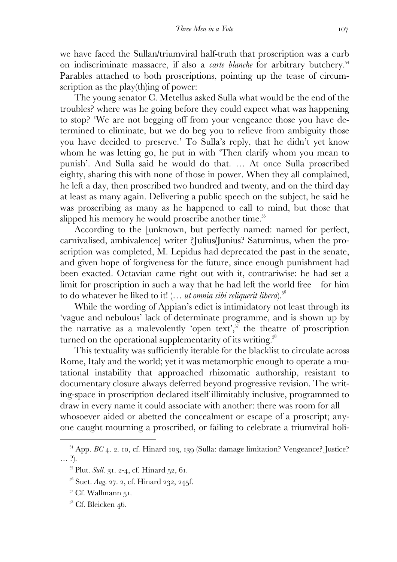we have faced the Sullan/triumviral half-truth that proscription was a curb on indiscriminate massacre, if also a *carte blanche* for arbitrary butchery. Parables attached to both proscriptions, pointing up the tease of circumscription as the play(th)ing of power:

 The young senator C. Metellus asked Sulla what would be the end of the troubles? where was he going before they could expect what was happening to stop? 'We are not begging off from your vengeance those you have determined to eliminate, but we do beg you to relieve from ambiguity those you have decided to preserve.' To Sulla's reply, that he didn't yet know whom he was letting go, he put in with 'Then clarify whom you mean to punish'. And Sulla said he would do that. … At once Sulla proscribed eighty, sharing this with none of those in power. When they all complained, he left a day, then proscribed two hundred and twenty, and on the third day at least as many again. Delivering a public speech on the subject, he said he was proscribing as many as he happened to call to mind, but those that slipped his memory he would proscribe another time.<sup>55</sup>

 According to the [unknown, but perfectly named: named for perfect, carnivalised, ambivalence] writer ?Julius/Junius? Saturninus, when the proscription was completed, M. Lepidus had deprecated the past in the senate, and given hope of forgiveness for the future, since enough punishment had been exacted. Octavian came right out with it, contrariwise: he had set a limit for proscription in such a way that he had left the world free—for him to do whatever he liked to it! (… *ut omnia sibi reliquerit libera*).

 While the wording of Appian's edict is intimidatory not least through its 'vague and nebulous' lack of determinate programme, and is shown up by the narrative as a malevolently 'open text',  $\bar{y}$  the theatre of proscription turned on the operational supplementarity of its writing. $5^8$ 

 This textuality was sufficiently iterable for the blacklist to circulate across Rome, Italy and the world; yet it was metamorphic enough to operate a mutational instability that approached rhizomatic authorship, resistant to documentary closure always deferred beyond progressive revision. The writing-space in proscription declared itself illimitably inclusive, programmed to draw in every name it could associate with another: there was room for all whosoever aided or abetted the concealment or escape of a proscript; anyone caught mourning a proscribed, or failing to celebrate a triumviral holi-

 $^{54}$  App. *BC* 4. 2. 10, cf. Hinard 103, 139 (Sulla: damage limitation? Vengeance? Justice? … ?).

<sup>&</sup>lt;sup>55</sup> Plut. *Sull.* 31. 2-4, cf. Hinard 52, 61.

<sup>&</sup>lt;sup>56</sup> Suet. *Aug.* 27. 2, cf. Hinard 232, 245f.

 $57$  Cf. Wallmann  $51$ .

 $5^8$  Cf. Bleicken 46.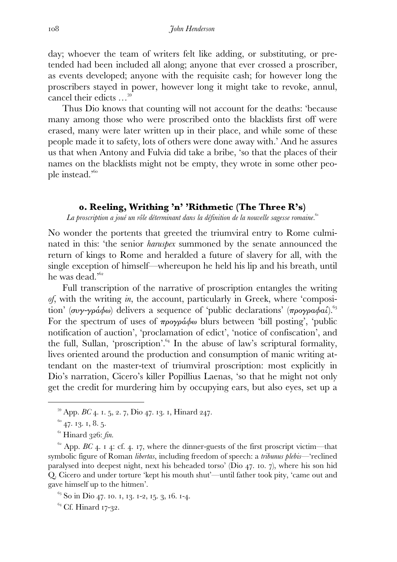day; whoever the team of writers felt like adding, or substituting, or pretended had been included all along; anyone that ever crossed a proscriber, as events developed; anyone with the requisite cash; for however long the proscribers stayed in power, however long it might take to revoke, annul, cancel their edicts …

 Thus Dio knows that counting will not account for the deaths: 'because many among those who were proscribed onto the blacklists first off were erased, many were later written up in their place, and while some of these people made it to safety, lots of others were done away with.' And he assures us that when Antony and Fulvia did take a bribe, 'so that the places of their names on the blacklists might not be empty, they wrote in some other people instead.'

## **. Reeling, Writhing 'n' 'Rithmetic (The Three R's)**

*La proscription a joué un rôle déterminant dans la définition de la nouvelle sagesse romaine.*

No wonder the portents that greeted the triumviral entry to Rome culminated in this: 'the senior *haruspex* summoned by the senate announced the return of kings to Rome and heralded a future of slavery for all, with the single exception of himself—whereupon he held his lip and his breath, until he was dead.'

 Full transcription of the narrative of proscription entangles the writing *of*, with the writing *in*, the account, particularly in Greek, where 'composition' (συγ-γράφω) delivers a sequence of 'public declarations' (προγραφαί).<sup>63</sup> For the spectrum of uses of  $\pi \rho \circ \gamma \circ \rho \circ \phi$  blurs between 'bill posting', 'public notification of auction', 'proclamation of edict', 'notice of confiscation', and the full, Sullan, 'proscription'.  $64$  In the abuse of law's scriptural formality, lives oriented around the production and consumption of manic writing attendant on the master-text of triumviral proscription: most explicitly in Dio's narration, Cicero's killer Popillius Laenas, 'so that he might not only get the credit for murdering him by occupying ears, but also eyes, set up a

 $\overline{a}$ 

 $64$  Cf. Hinard 17-32.

<sup>&</sup>lt;sup>59</sup> App. *BC* 4. 1. 5, 2. 7, Dio 47. 13. 1, Hinard 247.

 $\frac{60}{47}$ . 13. 1, 8. 5.

 $6$ <sup>t</sup> Hinard 326: *fin.* 

 $62$  App. *BC* 4. I 4: cf. 4. 17, where the dinner-guests of the first proscript victim—that symbolic figure of Roman *libertas*, including freedom of speech: a *tribunus plebis*—'reclined paralysed into deepest night, next his beheaded torso' (Dio  $47$ , 10, 7), where his son hid Q. Cicero and under torture 'kept his mouth shut'—until father took pity, 'came out and gave himself up to the hitmen'.

 $63$  So in Dio 47. 10. 1, 13. 1-2, 15. 3, 16. 1-4.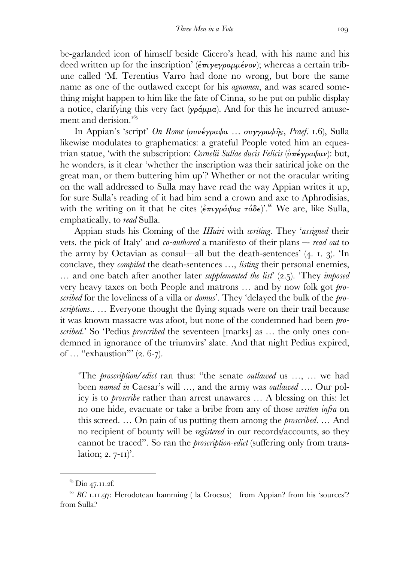be-garlanded icon of himself beside Cicero's head, with his name and his deed written up for the inscription'  $(\epsilon \pi \nu \epsilon \gamma \rho \alpha \mu \mu \epsilon \nu \nu)$ ; whereas a certain tribune called 'M. Terentius Varro had done no wrong, but bore the same name as one of the outlawed except for his *agnomen*, and was scared something might happen to him like the fate of Cinna, so he put on public display a notice, clarifying this very fact  $(\gamma \rho \dot{\alpha} \mu \mu a)$ . And for this he incurred amusement and derision.'

 In Appian's 'script' *On Rome* (συνέγραψα … συγγραφῆς, *Praef*. .), Sulla likewise modulates to graphematics: a grateful People voted him an equestrian statue, 'with the subscription: *Cornelii Sullae ducis Felicis* (ὑπέγραψαν): but, he wonders, is it clear 'whether the inscription was their satirical joke on the great man, or them buttering him up'? Whether or not the oracular writing on the wall addressed to Sulla may have read the way Appian writes it up, for sure Sulla's reading of it had him send a crown and axe to Aphrodisias, with the writing on it that he cites  $(\epsilon \pi \nu \rho \omega \omega \alpha s \tau \omega \delta \epsilon)^{0.66}$  We are, like Sulla, emphatically, to *read* Sulla.

 Appian studs his Coming of the *IIIuiri* with *writing*. They '*assigned* their vets. the pick of Italy' and *co-authored* a manifesto of their plans –- *read out* to the army by Octavian as consul—all but the death-sentences'  $(4. 1. 3)$ . Th conclave, they *compiled* the death-sentences …, *listing* their personal enemies, ... and one batch after another later *supplemented the list*' (2.5). 'They *imposed* very heavy taxes on both People and matrons … and by now folk got *proscribed* for the loveliness of a villa or *domus*'. They 'delayed the bulk of the *proscriptions*.. … Everyone thought the flying squads were on their trail because it was known massacre was afoot, but none of the condemned had been *proscribed*.' So 'Pedius *proscribed* the seventeen [marks] as … the only ones condemned in ignorance of the triumvirs' slate. And that night Pedius expired, of  $\ldots$  "exhaustion" (2. 6-7).

'The *proscription/edict* ran thus: "the senate *outlawed* us …, … we had been *named in* Caesar's will …, and the army was *outlawed* …. Our policy is to *proscribe* rather than arrest unawares … A blessing on this: let no one hide, evacuate or take a bribe from any of those *written infra* on this screed. … On pain of us putting them among the *proscribed*. … And no recipient of bounty will be *registered* in our records/accounts, so they cannot be traced". So ran the *proscription-edict* (suffering only from translation;  $2.7-I1$ .

j

 $65$  Dio 47.11.2f.

<sup>&</sup>lt;sup>66</sup> BC 1.11.97: Herodotean hamming (la Croesus)—from Appian? from his 'sources'? from Sulla?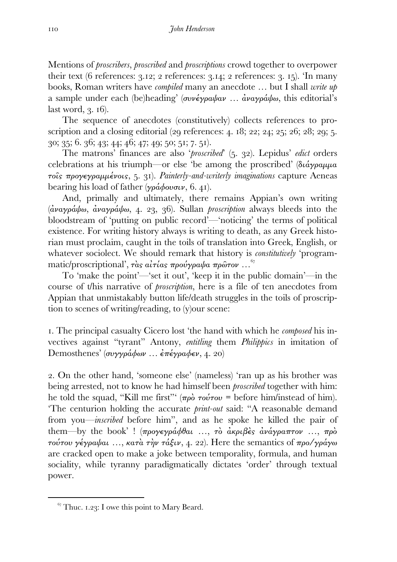Mentions of *proscribers*, *proscribed* and *proscriptions* crowd together to overpower their text (6 references:  $3.12$ ; 2 references:  $3.14$ ; 2 references:  $3.15$ ). The many books, Roman writers have *compiled* many an anecdote … but I shall *write up* a sample under each (be)heading' (συνέγραψαν … ἀναγράψω, this editorial's last word,  $3.16$ ).

 The sequence of anecdotes (constitutively) collects references to proscription and a closing editorial (29 references: 4.  $18; 22; 24; 25; 26; 28; 29; 5.$  $30; 35; 6.36; 43; 44; 46; 47; 49; 50; 51; 7.51$ .

The matrons' finances are also '*proscribed*' (5. 32). Lepidus' *edict* orders celebrations at his triumph—or else 'be among the proscribed' (διάγραμμα τοῖς προγεγραµµένοις, . ). *Painterly-and-writerly imaginations* capture Aeneas bearing his load of father (γράφουσιν, 6. 41).

 And, primally and ultimately, there remains Appian's own writing (άναγράψω, άναγράψω, 4. 23, 36). Sullan *proscription* always bleeds into the bloodstream of 'putting on public record'—'noticing' the terms of political existence. For writing history always is writing to death, as any Greek historian must proclaim, caught in the toils of translation into Greek, English, or whatever sociolect. We should remark that history is *constitutively* 'programmatic/proscriptional', τὰς αἰτίας προύγραψα πρῶτον … $^{67}$ 

 To 'make the point'—'set it out', 'keep it in the public domain'—in the course of t/his narrative of *proscription*, here is a file of ten anecdotes from Appian that unmistakably button life/death struggles in the toils of proscription to scenes of writing/reading, to (y)our scene:

. The principal casualty Cicero lost 'the hand with which he *composed* his invectives against "tyrant" Antony, *entitling* them *Philippics* in imitation of Demosthenes'  $(\sigma \nu \gamma \gamma \rho \phi \phi \omega \nu \dots \phi \sigma \phi \gamma \phi \phi \phi \nu, 4.20)$ 

. On the other hand, 'someone else' (nameless) 'ran up as his brother was being arrested, not to know he had himself been *proscribed* together with him: he told the squad, "Kill me first"  $(\pi \rho \dot{\rho} \dot{\sigma} \dot{\sigma} \dot{\sigma} \dot{\sigma} \dot{\sigma} \dot{\sigma} \dot{\sigma})$  = before him/instead of him). 'The centurion holding the accurate *print-out* said: "A reasonable demand from you—*inscribed* before him", and as he spoke he killed the pair of them—by the book' ! (προγεγράφθαι ..., τὸ ἀκριβὲς ἀνάγραπτον ..., πρὸ τούτου γέγραψαι ..., κατὰ τὴν τάξιν, 4. 22). Here the semantics of προ/γράγω are cracked open to make a joke between temporality, formula, and human sociality, while tyranny paradigmatically dictates 'order' through textual power.

j

 $67$  Thuc. 1.23: I owe this point to Mary Beard.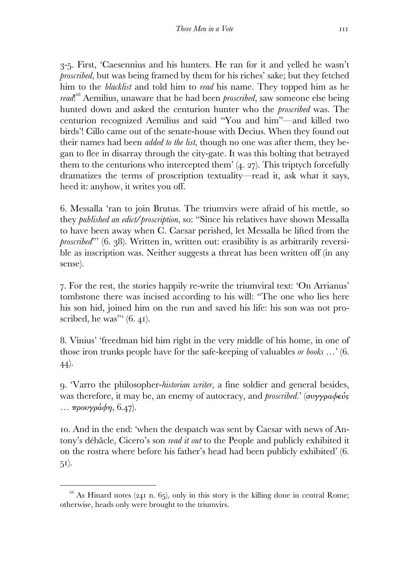3-5. First, 'Caesennius and his hunters. He ran for it and yelled he wasn't *proscribed*, but was being framed by them for his riches' sake; but they fetched him to the *blacklist* and told him to *read* his name. They topped him as he *read*! Aemilius, unaware that he had been *proscribed*, saw someone else being hunted down and asked the centurion hunter who the *proscribed* was. The centurion recognized Aemilius and said "You and him"—and killed two birds'! Cillo came out of the senate-house with Decius. When they found out their names had been *added to the list*, though no one was after them, they began to flee in disarray through the city-gate. It was this bolting that betrayed them to the centurions who intercepted them'  $(4. 27)$ . This triptych forcefully dramatizes the terms of proscription textuality—read it, ask what it says, heed it: anyhow, it writes you off.

. Messalla 'ran to join Brutus. The triumvirs were afraid of his mettle, so they *published an edict/proscription*, so: "Since his relatives have shown Messalla to have been away when C. Caesar perished, let Messalla be lifted from the *proscribed*"' (6. 38). Written in, written out: erasibility is as arbitrarily reversible as inscription was. Neither suggests a threat has been written off (in any sense).

. For the rest, the stories happily re-write the triumviral text: 'On Arrianus' tombstone there was incised according to his will: "The one who lies here his son hid, joined him on the run and saved his life: his son was not proscribed, he was"  $(6.41)$ .

. Vinius' 'freedman hid him right in the very middle of his home, in one of those iron trunks people have for the safe-keeping of valuables *or books* ...' (6.  $(44)$ .

. 'Varro the philosopher-*historian writer*, a fine soldier and general besides, was therefore, it may be, an enemy of autocracy, and *proscribed*.' (συγγραφεύς  $\ldots$  προυγράφη, 6.47).

. And in the end: 'when the despatch was sent by Caesar with news of Antony's débâcle, Cicero's son *read it out* to the People and publicly exhibited it on the rostra where before his father's head had been publicly exhibited' (6.  $(51)$ .

 $\overline{a}$  $^{68}$  As Hinard notes (241 n. 65), only in this story is the killing done in central Rome; otherwise, heads only were brought to the triumvirs.